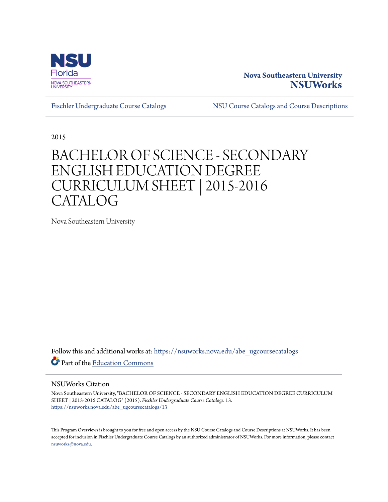

## **Nova Southeastern University [NSUWorks](https://nsuworks.nova.edu?utm_source=nsuworks.nova.edu%2Fabe_ugcoursecatalogs%2F13&utm_medium=PDF&utm_campaign=PDFCoverPages)**

[Fischler Undergraduate Course Catalogs](https://nsuworks.nova.edu/abe_ugcoursecatalogs?utm_source=nsuworks.nova.edu%2Fabe_ugcoursecatalogs%2F13&utm_medium=PDF&utm_campaign=PDFCoverPages) [NSU Course Catalogs and Course Descriptions](https://nsuworks.nova.edu/nsu_catalogs?utm_source=nsuworks.nova.edu%2Fabe_ugcoursecatalogs%2F13&utm_medium=PDF&utm_campaign=PDFCoverPages)

2015

## BACHELOR OF SCIENCE - SECONDARY ENGLISH EDUCATION DEGREE CURRICULUM SHEET | 2015-2016 CATALOG

Nova Southeastern University

Follow this and additional works at: [https://nsuworks.nova.edu/abe\\_ugcoursecatalogs](https://nsuworks.nova.edu/abe_ugcoursecatalogs?utm_source=nsuworks.nova.edu%2Fabe_ugcoursecatalogs%2F13&utm_medium=PDF&utm_campaign=PDFCoverPages) Part of the [Education Commons](http://network.bepress.com/hgg/discipline/784?utm_source=nsuworks.nova.edu%2Fabe_ugcoursecatalogs%2F13&utm_medium=PDF&utm_campaign=PDFCoverPages)

## NSUWorks Citation

Nova Southeastern University, "BACHELOR OF SCIENCE - SECONDARY ENGLISH EDUCATION DEGREE CURRICULUM SHEET | 2015-2016 CATALOG" (2015). *Fischler Undergraduate Course Catalogs*. 13. [https://nsuworks.nova.edu/abe\\_ugcoursecatalogs/13](https://nsuworks.nova.edu/abe_ugcoursecatalogs/13?utm_source=nsuworks.nova.edu%2Fabe_ugcoursecatalogs%2F13&utm_medium=PDF&utm_campaign=PDFCoverPages)

This Program Overviews is brought to you for free and open access by the NSU Course Catalogs and Course Descriptions at NSUWorks. It has been accepted for inclusion in Fischler Undergraduate Course Catalogs by an authorized administrator of NSUWorks. For more information, please contact [nsuworks@nova.edu.](mailto:nsuworks@nova.edu)